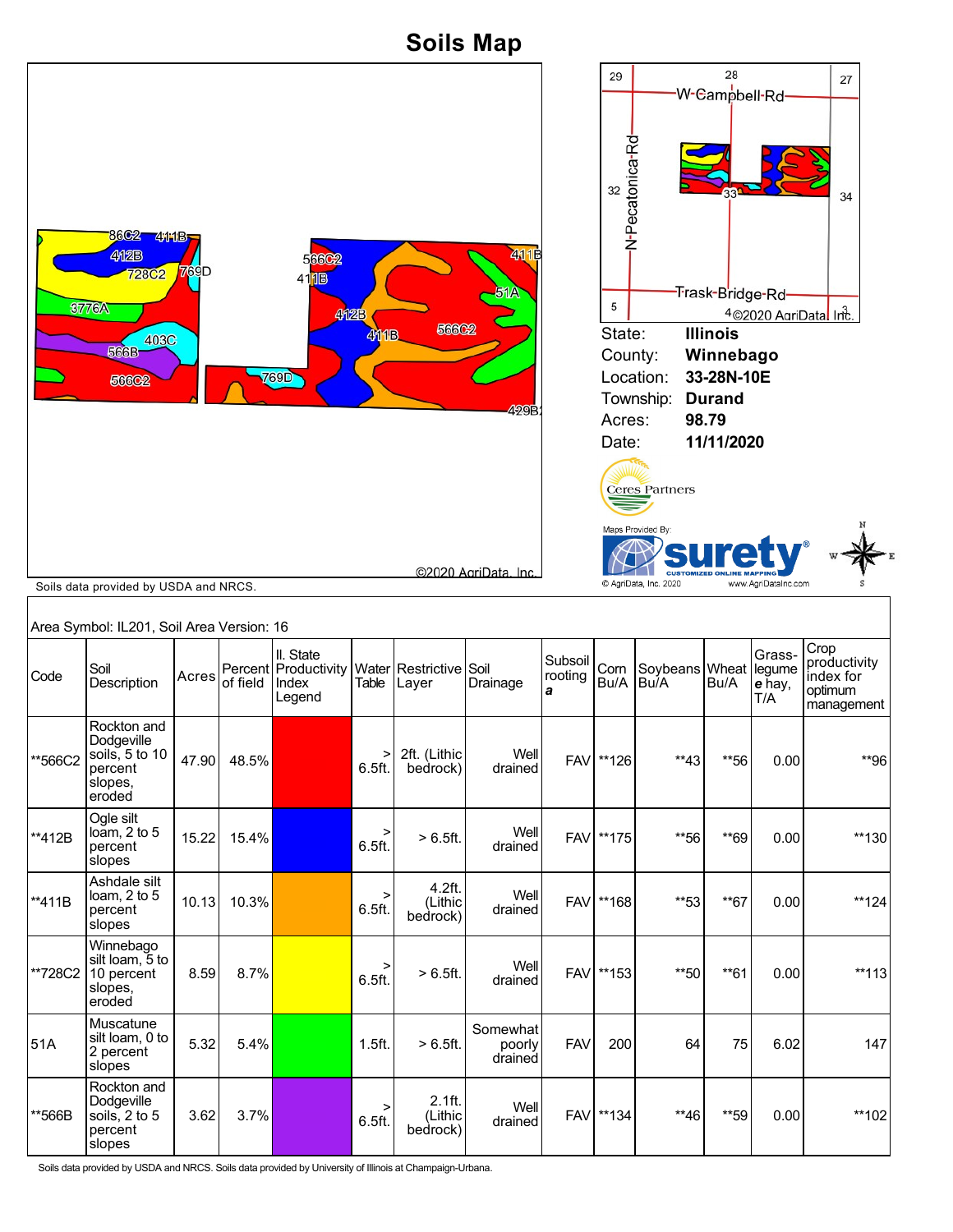**Soils Map**



Soils data provided by USDA and NRCS. Soils data provided by University of Illinois at Champaign-Urbana.